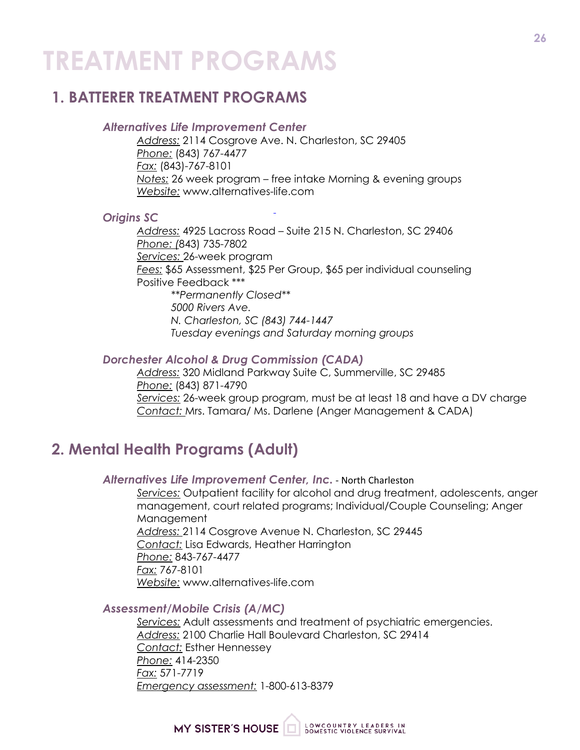# **TREATMENT PROGRAMS**

## **1. BATTERER TREATMENT PROGRAMS**

#### *Alternatives Life Improvement Center*

*Address:* 2114 Cosgrove Ave. N. Charleston, SC 29405 *Phone:* (843) 767-4477 *Fax:* (843)-767-8101 *Notes:* 26 week program – free intake Morning & evening groups *Website:* www.alternatives-life.com

#### *Origins SC*

*Address:* 4925 Lacross Road – Suite 215 N. Charleston, SC 29406 *Phone: (*843) 735-7802 *Services:* 26-week program *Fees:* \$65 Assessment, \$25 Per Group, \$65 per individual counseling Positive Feedback \*\*\* *\*\*Permanently Closed\*\* 5000 Rivers Ave. N. Charleston, SC (843) 744-1447 Tuesday evenings and Saturday morning groups*

#### *Dorchester Alcohol & Drug Commission (CADA)*

*Address:* 320 Midland Parkway Suite C, Summerville, SC 29485 *Phone:* (843) 871-4790 *Services:* 26-week group program, must be at least 18 and have a DV charge *Contact:* Mrs. Tamara/ Ms. Darlene (Anger Management & CADA)

## **2. Mental Health Programs (Adult)**

#### *Alternatives Life Improvement Center, Inc.* - North Charleston

*Services:* Outpatient facility for alcohol and drug treatment, adolescents, anger management, court related programs; Individual/Couple Counseling; Anger Management *Address:* 2114 Cosgrove Avenue N. Charleston, SC 29445 *Contact:* Lisa Edwards, Heather Harrington *Phone:* 843-767-4477 *Fax:* 767-8101 *Website:* www.alternatives-life.com

#### *Assessment/Mobile Crisis (A/MC)*

*Services:* Adult assessments and treatment of psychiatric emergencies. *Address:* 2100 Charlie Hall Boulevard Charleston, SC 29414 *Contact:* Esther Hennessey *Phone:* 414-2350 *Fax:* 571-7719 *Emergency assessment:* 1-800-613-8379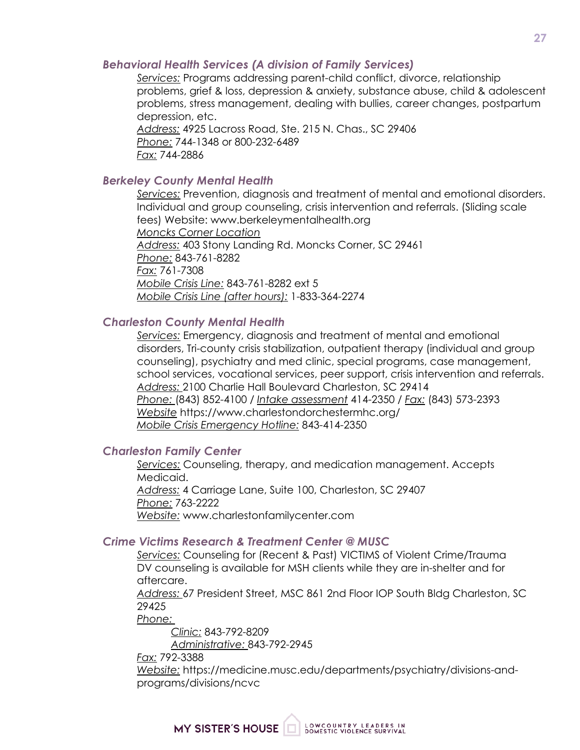#### *Behavioral Health Services (A division of Family Services)*

*Services:* Programs addressing parent-child conflict, divorce, relationship problems, grief & loss, depression & anxiety, substance abuse, child & adolescent problems, stress management, dealing with bullies, career changes, postpartum depression, etc.

*Address:* 4925 Lacross Road, Ste. 215 N. Chas., SC 29406 *Phone:* 744-1348 or 800-232-6489 *Fax:* 744-2886

#### *Berkeley County Mental Health*

*Services:* Prevention, diagnosis and treatment of mental and emotional disorders. Individual and group counseling, crisis intervention and referrals. (Sliding scale fees) Website: www.berkeleymentalhealth.org *Moncks Corner Location Address:* 403 Stony Landing Rd. Moncks Corner, SC 29461 *Phone:* 843-761-8282 *Fax:* 761-7308 *Mobile Crisis Line:* 843-761-8282 ext 5 *Mobile Crisis Line (after hours):* 1-833-364-2274

#### *Charleston County Mental Health*

*Services:* Emergency, diagnosis and treatment of mental and emotional disorders, Tri-county crisis stabilization, outpatient therapy (individual and group counseling), psychiatry and med clinic, special programs, case management, school services, vocational services, peer support, crisis intervention and referrals. *Address:* 2100 Charlie Hall Boulevard Charleston, SC 29414 *Phone:* (843) 852-4100 / *Intake assessment* 414-2350 / *Fax:* (843) 573-2393 *Website* https://www.charlestondorchestermhc.org/ *Mobile Crisis Emergency Hotline:* 843-414-2350

#### *Charleston Family Center*

*Services:* Counseling, therapy, and medication management. Accepts Medicaid. *Address:* 4 Carriage Lane, Suite 100, Charleston, SC 29407 *Phone:* 763-2222 *Website:* www.charlestonfamilycenter.com

#### *Crime Victims Research & Treatment Center @ MUSC*

*Services:* Counseling for (Recent & Past) VICTIMS of Violent Crime/Trauma DV counseling is available for MSH clients while they are in-shelter and for aftercare.

*Address:* 67 President Street, MSC 861 2nd Floor IOP South Bldg Charleston, SC 29425

*Phone:* 

*Clinic:* 843-792-8209 *Administrative:* 843-792-2945

*Fax:* 792-3388

*Website:* https://medicine.musc.edu/departments/psychiatry/divisions-andprograms/divisions/ncvc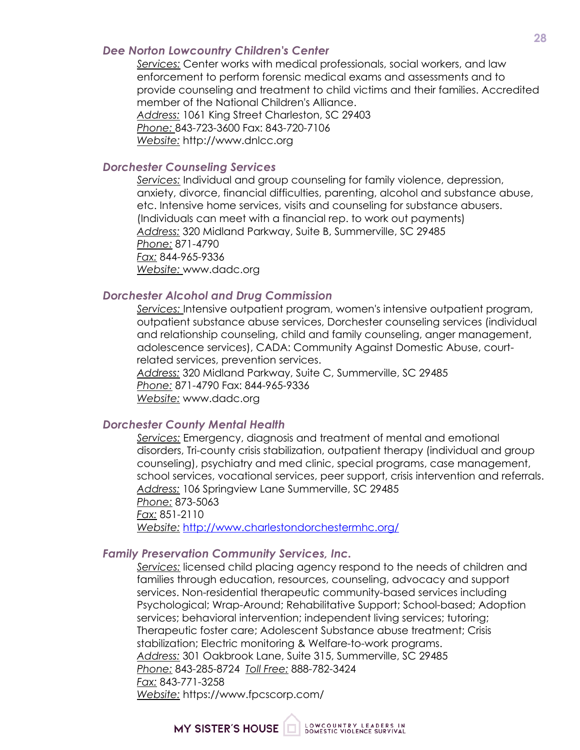#### *Dee Norton Lowcountry Children's Center*

*Services:* Center works with medical professionals, social workers, and law enforcement to perform forensic medical exams and assessments and to provide counseling and treatment to child victims and their families. Accredited member of the National Children's Alliance. *Address:* 1061 King Street Charleston, SC 29403 *Phone:* 843-723-3600 Fax: 843-720-7106 *Website:* http://www.dnlcc.org

#### *Dorchester Counseling Services*

*Services:* Individual and group counseling for family violence, depression, anxiety, divorce, financial difficulties, parenting, alcohol and substance abuse, etc. Intensive home services, visits and counseling for substance abusers. (Individuals can meet with a financial rep. to work out payments) *Address:* 320 Midland Parkway, Suite B, Summerville, SC 29485 *Phone:* 871-4790 *Fax:* 844-965-9336 *Website:* www.dadc.org

#### *Dorchester Alcohol and Drug Commission*

*Services:* Intensive outpatient program, women's intensive outpatient program, outpatient substance abuse services, Dorchester counseling services (individual and relationship counseling, child and family counseling, anger management, adolescence services), CADA: Community Against Domestic Abuse, courtrelated services, prevention services.

*Address:* 320 Midland Parkway, Suite C, Summerville, SC 29485 *Phone:* 871-4790 Fax: 844-965-9336 *Website:* www.dadc.org

#### *Dorchester County Mental Health*

*Services:* Emergency, diagnosis and treatment of mental and emotional disorders, Tri-county crisis stabilization, outpatient therapy (individual and group counseling), psychiatry and med clinic, special programs, case management, school services, vocational services, peer support, crisis intervention and referrals. *Address:* 106 Springview Lane Summerville, SC 29485 *Phone:* 873-5063 *Fax:* 851-2110 *Website:* http://www.charlestondorchestermhc.org/

#### *Family Preservation Community Services, Inc.*

*Services:* licensed child placing agency respond to the needs of children and families through education, resources, counseling, advocacy and support services. Non-residential therapeutic community-based services including Psychological; Wrap-Around; Rehabilitative Support; School-based; Adoption services; behavioral intervention; independent living services; tutoring; Therapeutic foster care; Adolescent Substance abuse treatment; Crisis stabilization; Electric monitoring & Welfare-to-work programs. *Address:* 301 Oakbrook Lane, Suite 315, Summerville, SC 29485 *Phone:* 843-285-8724 *Toll Free:* 888-782-3424 *Fax:* 843-771-3258 *Website:* https://www.fpcscorp.com/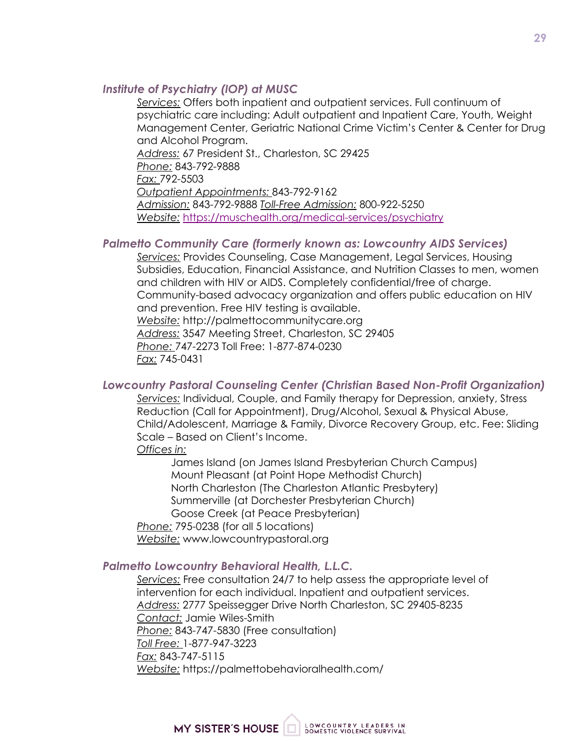#### *Institute of Psychiatry (IOP) at MUSC*

*Services:* Offers both inpatient and outpatient services. Full continuum of psychiatric care including: Adult outpatient and Inpatient Care, Youth, Weight Management Center, Geriatric National Crime Victim's Center & Center for Drug and Alcohol Program.

*Address:* 67 President St., Charleston, SC 29425 *Phone:* 843-792-9888 *Fax:* 792-5503 *Outpatient Appointments:* 843-792-9162 *Admission:* 843-792-9888 *Toll-Free Admission:* 800-922-5250 *Website:* https://muschealth.org/medical-services/psychiatry

#### *Palmetto Community Care (formerly known as: Lowcountry AIDS Services)*

*Services:* Provides Counseling, Case Management, Legal Services, Housing Subsidies, Education, Financial Assistance, and Nutrition Classes to men, women and children with HIV or AIDS. Completely confidential/free of charge. Community-based advocacy organization and offers public education on HIV and prevention. Free HIV testing is available. *Website:* http://palmettocommunitycare.org *Address:* 3547 Meeting Street, Charleston, SC 29405 *Phone:* 747-2273 Toll Free: 1-877-874-0230 *Fax:* 745-0431

#### *Lowcountry Pastoral Counseling Center (Christian Based Non-Profit Organization)*

*Services:* Individual, Couple, and Family therapy for Depression, anxiety, Stress Reduction (Call for Appointment), Drug/Alcohol, Sexual & Physical Abuse, Child/Adolescent, Marriage & Family, Divorce Recovery Group, etc. Fee: Sliding Scale – Based on Client's Income.

*Offices in:*

James Island (on James Island Presbyterian Church Campus) Mount Pleasant (at Point Hope Methodist Church) North Charleston (The Charleston Atlantic Presbytery) Summerville (at Dorchester Presbyterian Church) Goose Creek (at Peace Presbyterian) *Phone:* 795-0238 (for all 5 locations) *Website:* www.lowcountrypastoral.org

#### *Palmetto Lowcountry Behavioral Health, L.L.C.*

*Services:* Free consultation 24/7 to help assess the appropriate level of intervention for each individual. Inpatient and outpatient services. *Address:* 2777 Speissegger Drive North Charleston, SC 29405-8235 *Contact:* Jamie Wiles-Smith *Phone:* 843-747-5830 (Free consultation) *Toll Free:* 1-877-947-3223 *Fax:* 843-747-5115 *Website:* https://palmettobehavioralhealth.com/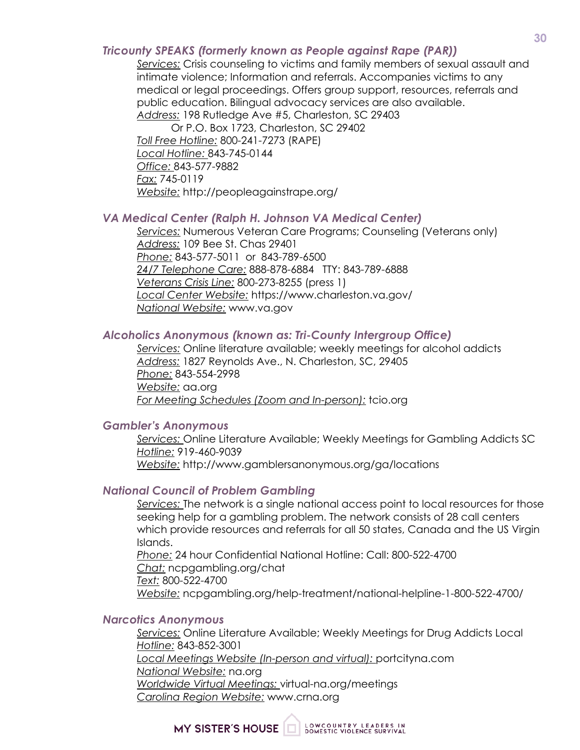#### *Tricounty SPEAKS (formerly known as People against Rape (PAR))*

*Services:* Crisis counseling to victims and family members of sexual assault and intimate violence; Information and referrals. Accompanies victims to any medical or legal proceedings. Offers group support, resources, referrals and public education. Bilingual advocacy services are also available. *Address:* 198 Rutledge Ave #5, Charleston, SC 29403

Or P.O. Box 1723, Charleston, SC 29402 *Toll Free Hotline:* 800-241-7273 (RAPE) *Local Hotline:* 843-745-0144 *Office:* 843-577-9882 *Fax:* 745-0119 *Website:* http://peopleagainstrape.org/

#### *VA Medical Center (Ralph H. Johnson VA Medical Center)*

*Services:* Numerous Veteran Care Programs; Counseling (Veterans only) *Address:* 109 Bee St. Chas 29401 *Phone:* 843-577-5011 or 843-789-6500 *24/7 Telephone Care:* 888-878-6884 TTY: 843-789-6888 *Veterans Crisis Line:* 800-273-8255 (press 1) *Local Center Website:* https://www.charleston.va.gov/ *National Website:* www.va.gov

#### *Alcoholics Anonymous (known as: Tri-County Intergroup Office)*

*Services:* Online literature available; weekly meetings for alcohol addicts *Address:* 1827 Reynolds Ave., N. Charleston, SC, 29405 *Phone:* 843-554-2998 *Website:* aa.org *For Meeting Schedules (Zoom and In-person):* tcio.org

#### *Gambler's Anonymous*

*Services:* Online Literature Available; Weekly Meetings for Gambling Addicts SC *Hotline:* 919-460-9039 *Website:* http://www.gamblersanonymous.org/ga/locations

#### *National Council of Problem Gambling*

*Services:* The network is a single national access point to local resources for those seeking help for a gambling problem. The network consists of 28 call centers which provide resources and referrals for all 50 states, Canada and the US Virgin Islands.

*Phone:* 24 hour Confidential National Hotline: Call: 800-522-4700 *Chat:* ncpgambling.org/chat *Text:* 800-522-4700 *Website:* ncpgambling.org/help-treatment/national-helpline-1-800-522-4700/

#### *Narcotics Anonymous*

*Services:* Online Literature Available; Weekly Meetings for Drug Addicts Local *Hotline:* 843-852-3001 *Local Meetings Website (In-person and virtual):* portcityna.com *National Website:* na.org *Worldwide Virtual Meetings:* virtual-na.org/meetings *Carolina Region Website:* www.crna.org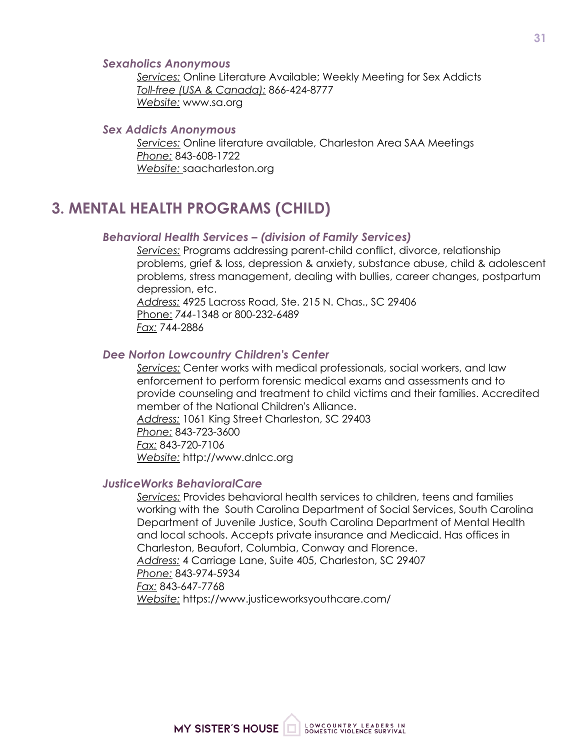#### *Sexaholics Anonymous*

*Services:* Online Literature Available; Weekly Meeting for Sex Addicts *Toll-free (USA & Canada):* 866-424-8777 *Website:* www.sa.org

#### *Sex Addicts Anonymous*

*Services:* Online literature available, Charleston Area SAA Meetings *Phone:* 843-608-1722 *Website:* saacharleston.org

### **3. MENTAL HEALTH PROGRAMS (CHILD)**

#### *Behavioral Health Services – (division of Family Services)*

*Services:* Programs addressing parent-child conflict, divorce, relationship problems, grief & loss, depression & anxiety, substance abuse, child & adolescent problems, stress management, dealing with bullies, career changes, postpartum depression, etc.

*Address:* 4925 Lacross Road, Ste. 215 N. Chas., SC 29406 Phone: *744*-1348 or 800-232-6489 *Fax:* 744-2886

#### *Dee Norton Lowcountry Children's Center*

*Services:* Center works with medical professionals, social workers, and law enforcement to perform forensic medical exams and assessments and to provide counseling and treatment to child victims and their families. Accredited member of the National Children's Alliance. *Address:* 1061 King Street Charleston, SC 29403 *Phone:* 843-723-3600

*Fax:* 843-720-7106 *Website:* http://www.dnlcc.org

#### *JusticeWorks BehavioralCare*

*Services:* Provides behavioral health services to children, teens and families working with the South Carolina Department of Social Services, South Carolina Department of Juvenile Justice, South Carolina Department of Mental Health and local schools. Accepts private insurance and Medicaid. Has offices in Charleston, Beaufort, Columbia, Conway and Florence. *Address:* 4 Carriage Lane, Suite 405, Charleston, SC 29407 *Phone:* 843-974-5934 *Fax:* 843-647-7768 *Website:* https://www.justiceworksyouthcare.com/